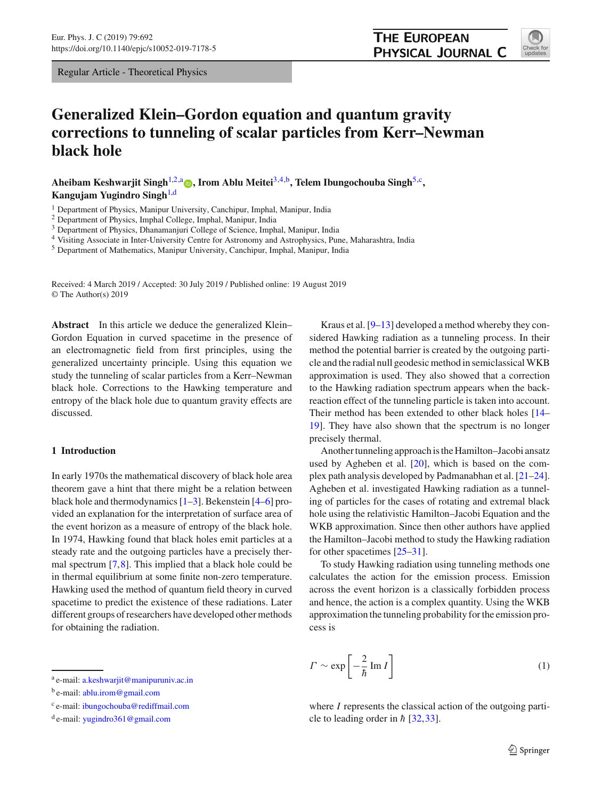Regular Article - Theoretical Physics

# **THE EUROPEAN** PHYSICAL JOURNAL C



# **Generalized Klein–Gordon equation and quantum gravity corrections to tunneling of scalar particles from Kerr–Newman black hole**

Aheibam Keshwarjit Singh<sup>[1,2,](#page-0-0)a</sup> **[,](http://orcid.org/0000-0003-0182-3001)** Irom Ablu Meitei<sup>[3](#page-0-1)[,4,](#page-0-2)b</sup>, Telem Ibungochouba Singh<sup>[5,](#page-0-3)c</sup>, **Kangujam Yugindro Singh**[1,](#page-0-0)d

<sup>1</sup> Department of Physics, Manipur University, Canchipur, Imphal, Manipur, India

<sup>2</sup> Department of Physics, Imphal College, Imphal, Manipur, India

<sup>3</sup> Department of Physics, Dhanamanjuri College of Science, Imphal, Manipur, India

<sup>4</sup> Visiting Associate in Inter-University Centre for Astronomy and Astrophysics, Pune, Maharashtra, India

<sup>5</sup> Department of Mathematics, Manipur University, Canchipur, Imphal, Manipur, India

Received: 4 March 2019 / Accepted: 30 July 2019 / Published online: 19 August 2019 © The Author(s) 2019

**Abstract** In this article we deduce the generalized Klein– Gordon Equation in curved spacetime in the presence of an electromagnetic field from first principles, using the generalized uncertainty principle. Using this equation we study the tunneling of scalar particles from a Kerr–Newman black hole. Corrections to the Hawking temperature and entropy of the black hole due to quantum gravity effects are discussed.

# **1 Introduction**

In early 1970s the mathematical discovery of black hole area theorem gave a hint that there might be a relation between black hole and thermodynamics [\[1](#page-5-0)[–3\]](#page-5-1). Bekenstein [\[4](#page-5-2)[–6](#page-5-3)] provided an explanation for the interpretation of surface area of the event horizon as a measure of entropy of the black hole. In 1974, Hawking found that black holes emit particles at a steady rate and the outgoing particles have a precisely thermal spectrum [\[7](#page-5-4)[,8](#page-5-5)]. This implied that a black hole could be in thermal equilibrium at some finite non-zero temperature. Hawking used the method of quantum field theory in curved spacetime to predict the existence of these radiations. Later different groups of researchers have developed other methods for obtaining the radiation.

<span id="page-0-3"></span><span id="page-0-2"></span><span id="page-0-1"></span><span id="page-0-0"></span>Kraus et al. [\[9](#page-6-0)[–13\]](#page-6-1) developed a method whereby they considered Hawking radiation as a tunneling process. In their method the potential barrier is created by the outgoing particle and the radial null geodesic method in semiclassical WKB approximation is used. They also showed that a correction to the Hawking radiation spectrum appears when the backreaction effect of the tunneling particle is taken into account. Their method has been extended to other black holes [\[14](#page-6-2)– [19](#page-6-3)]. They have also shown that the spectrum is no longer precisely thermal.

Another tunneling approach is the Hamilton–Jacobi ansatz used by Agheben et al. [\[20](#page-6-4)], which is based on the complex path analysis developed by Padmanabhan et al. [\[21](#page-6-5)[–24](#page-6-6)]. Agheben et al. investigated Hawking radiation as a tunneling of particles for the cases of rotating and extremal black hole using the relativistic Hamilton–Jacobi Equation and the WKB approximation. Since then other authors have applied the Hamilton–Jacobi method to study the Hawking radiation for other spacetimes [\[25](#page-6-7)[–31\]](#page-6-8).

To study Hawking radiation using tunneling methods one calculates the action for the emission process. Emission across the event horizon is a classically forbidden process and hence, the action is a complex quantity. Using the WKB approximation the tunneling probability for the emission process is

$$
\Gamma \sim \exp\left[-\frac{2}{\hbar} \operatorname{Im} I\right] \tag{1}
$$

where *I* represents the classical action of the outgoing particle to leading order in  $\hbar$  [\[32](#page-6-9),[33\]](#page-6-10).

<sup>a</sup> e-mail: [a.keshwarjit@manipuruniv.ac.in](mailto:a.keshwarjit@manipuruniv.ac.in)

<sup>&</sup>lt;sup>b</sup> e-mail: [ablu.irom@gmail.com](mailto:ablu.irom@gmail.com)

<sup>c</sup> e-mail: [ibungochouba@rediffmail.com](mailto:ibungochouba@rediffmail.com)

 $d$  e-mail: [yugindro361@gmail.com](mailto:yugindro361@gmail.com)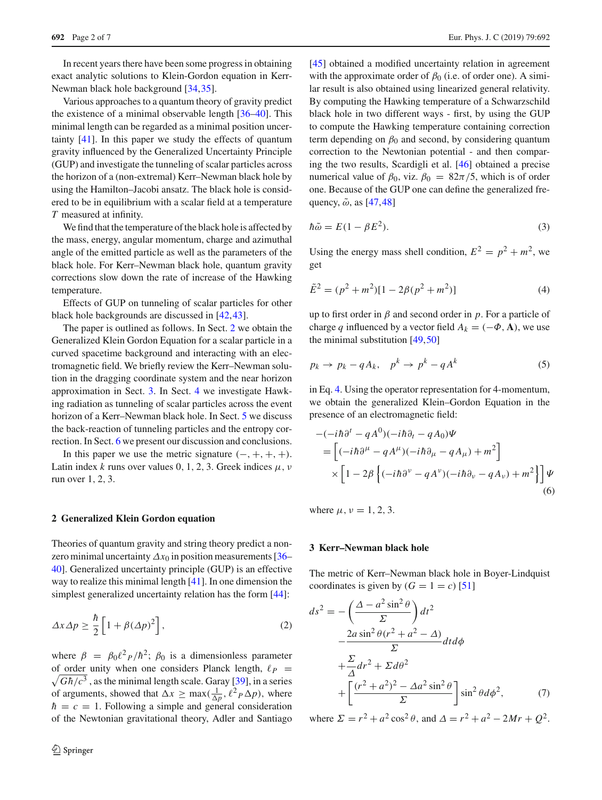In recent years there have been some progress in obtaining exact analytic solutions to Klein-Gordon equation in Kerr-Newman black hole background [\[34](#page-6-11)[,35\]](#page-6-12).

Various approaches to a quantum theory of gravity predict the existence of a minimal observable length [\[36](#page-6-13)[–40\]](#page-6-14). This minimal length can be regarded as a minimal position uncertainty [\[41\]](#page-6-15). In this paper we study the effects of quantum gravity influenced by the Generalized Uncertainty Principle (GUP) and investigate the tunneling of scalar particles across the horizon of a (non-extremal) Kerr–Newman black hole by using the Hamilton–Jacobi ansatz. The black hole is considered to be in equilibrium with a scalar field at a temperature *T* measured at infinity.

We find that the temperature of the black hole is affected by the mass, energy, angular momentum, charge and azimuthal angle of the emitted particle as well as the parameters of the black hole. For Kerr–Newman black hole, quantum gravity corrections slow down the rate of increase of the Hawking temperature.

Effects of GUP on tunneling of scalar particles for other black hole backgrounds are discussed in [\[42](#page-6-16)[,43](#page-6-17)].

The paper is outlined as follows. In Sect. [2](#page-1-0) we obtain the Generalized Klein Gordon Equation for a scalar particle in a curved spacetime background and interacting with an electromagnetic field. We briefly review the Kerr–Newman solution in the dragging coordinate system and the near horizon approximation in Sect. [3.](#page-1-1) In Sect. [4](#page-2-0) we investigate Hawking radiation as tunneling of scalar particles across the event horizon of a Kerr–Newman black hole. In Sect. [5](#page-4-0) we discuss the back-reaction of tunneling particles and the entropy correction. In Sect. [6](#page-5-6) we present our discussion and conclusions.

In this paper we use the metric signature  $(-, +, +, +)$ . Latin index *k* runs over values 0, 1, 2, 3. Greek indices  $\mu$ ,  $\nu$ run over 1, 2, 3.

#### <span id="page-1-0"></span>**2 Generalized Klein Gordon equation**

Theories of quantum gravity and string theory predict a nonzero minimal uncertainty  $\Delta x_0$  in position measurements [\[36](#page-6-13)– [40\]](#page-6-14). Generalized uncertainty principle (GUP) is an effective way to realize this minimal length [\[41](#page-6-15)]. In one dimension the simplest generalized uncertainty relation has the form [\[44\]](#page-6-18):

$$
\Delta x \Delta p \ge \frac{\hbar}{2} \left[ 1 + \beta (\Delta p)^2 \right],\tag{2}
$$

where  $\beta = \beta_0 \ell^2 P / \hbar^2$ ;  $\beta_0$  is a dimensionless parameter  $\sqrt{G\hbar/c^3}$ , as the minimal length scale. Garay [\[39\]](#page-6-19), in a series of order unity when one considers Planck length,  $\ell_P$  = of arguments, showed that  $\Delta x \ge \max(\frac{1}{\Delta p}, \ell^2 p \Delta p)$ , where  $\hbar = c = 1$ . Following a simple and general consideration of the Newtonian gravitational theory, Adler and Santiago [\[45](#page-6-20)] obtained a modified uncertainty relation in agreement with the approximate order of  $\beta_0$  (i.e. of order one). A similar result is also obtained using linearized general relativity. By computing the Hawking temperature of a Schwarzschild black hole in two different ways - first, by using the GUP to compute the Hawking temperature containing correction term depending on  $\beta_0$  and second, by considering quantum correction to the Newtonian potential - and then comparing the two results, Scardigli et al. [\[46\]](#page-6-21) obtained a precise numerical value of  $\beta_0$ , viz.  $\beta_0 = 82\pi/5$ , which is of order one. Because of the GUP one can define the generalized frequency,  $\tilde{\omega}$ , as [\[47](#page-6-22)[,48](#page-6-23)]

$$
\hbar \tilde{\omega} = E(1 - \beta E^2). \tag{3}
$$

<span id="page-1-2"></span>Using the energy mass shell condition,  $E^2 = p^2 + m^2$ , we get

$$
\tilde{E}^2 = (p^2 + m^2)[1 - 2\beta(p^2 + m^2)]
$$
\n(4)

up to first order in  $\beta$  and second order in  $p$ . For a particle of charge *q* influenced by a vector field  $A_k = (-\Phi, \mathbf{A})$ , we use the minimal substitution [\[49](#page-6-24)[,50](#page-6-25)]

$$
p_k \to p_k - qA_k, \quad p^k \to p^k - qA^k \tag{5}
$$

in Eq. [4.](#page-1-2) Using the operator representation for 4-momentum, we obtain the generalized Klein–Gordon Equation in the presence of an electromagnetic field:

<span id="page-1-3"></span>
$$
-(-i\hbar\partial^{t} - qA^{0})(-i\hbar\partial_{t} - qA_{0})\Psi
$$
  
= 
$$
\left[ (-i\hbar\partial^{\mu} - qA^{\mu})(-i\hbar\partial_{\mu} - qA_{\mu}) + m^{2} \right]
$$
  

$$
\times \left[ 1 - 2\beta \left\{ (-i\hbar\partial^{\nu} - qA^{\nu})(-i\hbar\partial_{\nu} - qA_{\nu}) + m^{2} \right\} \right] \Psi
$$
  
(6)

where  $\mu$ ,  $\nu = 1, 2, 3$ .

#### <span id="page-1-1"></span>**3 Kerr–Newman black hole**

The metric of Kerr–Newman black hole in Boyer-Lindquist coordinates is given by  $(G = 1 = c)$  [\[51](#page-6-26)]

$$
ds^{2} = -\left(\frac{\Delta - a^{2} \sin^{2} \theta}{\Sigma}\right) dt^{2}
$$

$$
-\frac{2a \sin^{2} \theta (r^{2} + a^{2} - \Delta)}{\Sigma} dt d\phi
$$

$$
+\frac{\Sigma}{\Delta} dr^{2} + \Sigma d\theta^{2}
$$

$$
+\left[\frac{(r^{2} + a^{2})^{2} - \Delta a^{2} \sin^{2} \theta}{\Sigma}\right] \sin^{2} \theta d\phi^{2}, \qquad (7)
$$

where  $\Sigma = r^2 + a^2 \cos^2 \theta$ , and  $\Delta = r^2 + a^2 - 2Mr + O^2$ .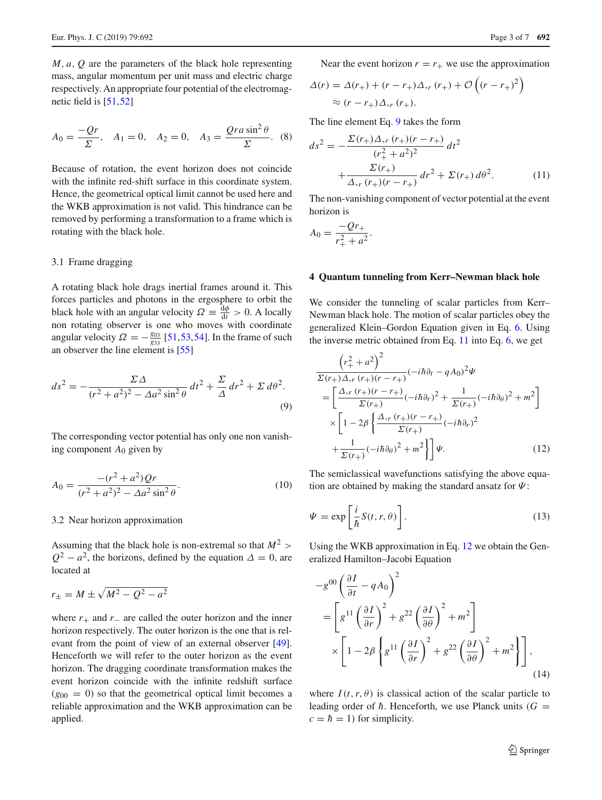*M*, *a*, *Q* are the parameters of the black hole representing mass, angular momentum per unit mass and electric charge respectively. An appropriate four potential of the electromagnetic field is [\[51,](#page-6-26)[52\]](#page-6-27)

$$
A_0 = \frac{-Qr}{\Sigma}
$$
,  $A_1 = 0$ ,  $A_2 = 0$ ,  $A_3 = \frac{Qra\sin^2\theta}{\Sigma}$ . (8)

Because of rotation, the event horizon does not coincide with the infinite red-shift surface in this coordinate system. Hence, the geometrical optical limit cannot be used here and the WKB approximation is not valid. This hindrance can be removed by performing a transformation to a frame which is rotating with the black hole.

#### 3.1 Frame dragging

A rotating black hole drags inertial frames around it. This forces particles and photons in the ergosphere to orbit the black hole with an angular velocity  $\Omega = \frac{d\phi}{dt} > 0$ . A locally non rotating observer is one who moves with coordinate angular velocity  $\Omega = -\frac{g_{03}}{g_{33}}$  [\[51,](#page-6-26)[53](#page-6-28)[,54](#page-6-29)]. In the frame of such an observer the line element is [\[55](#page-6-30)]

$$
ds^{2} = -\frac{\Sigma\Delta}{(r^{2}+a^{2})^{2} - \Delta a^{2}\sin^{2}\theta}dt^{2} + \frac{\Sigma}{\Delta}dr^{2} + \Sigma d\theta^{2}.
$$
\n(9)

The corresponding vector potential has only one non vanishing component  $A_0$  given by

$$
A_0 = \frac{-(r^2 + a^2)Qr}{(r^2 + a^2)^2 - \Delta a^2 \sin^2 \theta}.
$$
\n(10)

#### 3.2 Near horizon approximation

Assuming that the black hole is non-extremal so that  $M^2$  >  $Q^2 - a^2$ , the horizons, defined by the equation  $\Delta = 0$ , are located at

$$
r_{\pm} = M \pm \sqrt{M^2 - Q^2 - a^2}
$$

where  $r_+$  and  $r_-$  are called the outer horizon and the inner horizon respectively. The outer horizon is the one that is relevant from the point of view of an external observer [\[49](#page-6-24)]. Henceforth we will refer to the outer horizon as the event horizon. The dragging coordinate transformation makes the event horizon coincide with the infinite redshift surface  $(g_{00} = 0)$  so that the geometrical optical limit becomes a reliable approximation and the WKB approximation can be applied.

Near the event horizon  $r = r_+$  we use the approximation

$$
\Delta(r) = \Delta(r_+) + (r - r_+) \Delta_{,r} (r_+) + \mathcal{O}\left((r - r_+)^2\right)
$$
  
 
$$
\approx (r - r_+) \Delta_{,r} (r_+).
$$

The line element Eq. [9](#page-2-1) takes the form

<span id="page-2-2"></span>
$$
ds^{2} = -\frac{\Sigma(r_{+})\Delta_{,r}(r_{+})(r-r_{+})}{(r_{+}^{2}+a^{2})^{2}}dt^{2} + \frac{\Sigma(r_{+})}{\Delta_{,r}(r_{+})(r-r_{+})}dr^{2} + \Sigma(r_{+})d\theta^{2}.
$$
 (11)

The non-vanishing component of vector potential at the event horizon is

$$
A_0 = \frac{-Qr_+}{r_+^2 + a^2}.
$$

# <span id="page-2-0"></span>**4 Quantum tunneling from Kerr–Newman black hole**

<span id="page-2-1"></span>We consider the tunneling of scalar particles from Kerr– Newman black hole. The motion of scalar particles obey the generalized Klein–Gordon Equation given in Eq. [6.](#page-1-3) Using the inverse metric obtained from Eq. [11](#page-2-2) into Eq. [6,](#page-1-3) we get

<span id="page-2-3"></span>
$$
\frac{\left(r_+^2 + a^2\right)^2}{\Sigma(r_+) \Delta, r(r_+)(r - r_+)} (-i\hbar \partial_t - qA_0)^2 \Psi
$$
\n
$$
= \left[\frac{\Delta, r(r_+)(r - r_+)}{\Sigma(r_+)} (-i\hbar \partial_r)^2 + \frac{1}{\Sigma(r_+)} (-i\hbar \partial_\theta)^2 + m^2\right]
$$
\n
$$
\times \left[1 - 2\beta \left\{\frac{\Delta, r(r_+)(r - r_+)}{\Sigma(r_+)} (-i\hbar \partial_r)^2 + m^2\right\}\right] \Psi.
$$
\n(12)

The semiclassical wavefunctions satisfying the above equation are obtained by making the standard ansatz for  $\Psi$ :

$$
\Psi = \exp\left[\frac{i}{\hbar}S(t,r,\theta)\right].
$$
\n(13)

Using the WKB approximation in Eq. [12](#page-2-3) we obtain the Generalized Hamilton–Jacobi Equation

<span id="page-2-4"></span>
$$
-g^{00} \left(\frac{\partial I}{\partial t} - q A_0\right)^2
$$
  
=  $\left[ g^{11} \left(\frac{\partial I}{\partial r}\right)^2 + g^{22} \left(\frac{\partial I}{\partial \theta}\right)^2 + m^2 \right]$   

$$
\times \left[ 1 - 2\beta \left\{ g^{11} \left(\frac{\partial I}{\partial r}\right)^2 + g^{22} \left(\frac{\partial I}{\partial \theta}\right)^2 + m^2 \right\} \right],
$$
 (14)

where  $I(t, r, \theta)$  is classical action of the scalar particle to leading order of  $\hbar$ . Henceforth, we use Planck units ( $G =$  $c = \hbar = 1$ ) for simplicity.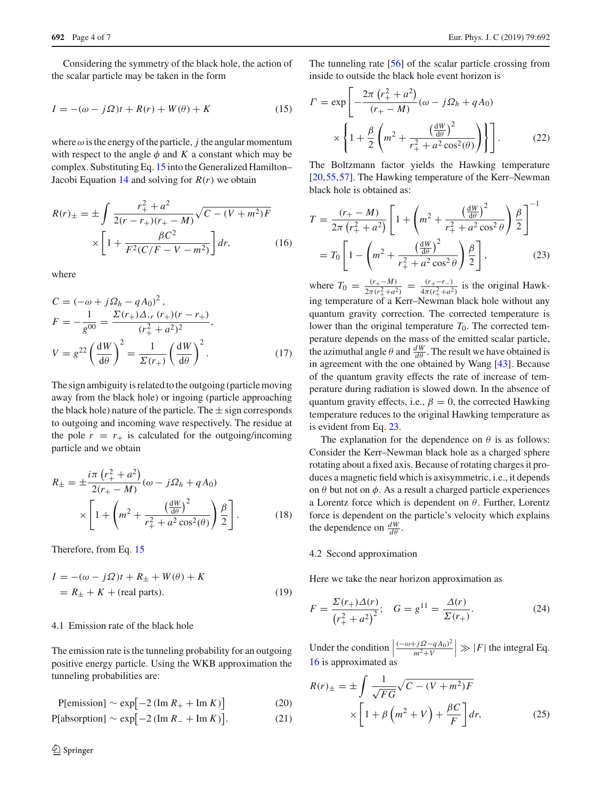Considering the symmetry of the black hole, the action of the scalar particle may be taken in the form

$$
I = -(\omega - j\Omega)t + R(r) + W(\theta) + K
$$
\n(15)

where  $\omega$  is the energy of the particle, *j* the angular momentum with respect to the angle  $\phi$  and  $K$  a constant which may be complex. Substituting Eq. [15](#page-3-0) into the Generalized Hamilton– Jacobi Equation [14](#page-2-4) and solving for  $R(r)$  we obtain

<span id="page-3-2"></span>
$$
R(r)_{\pm} = \pm \int \frac{r_+^2 + a^2}{2(r - r_+)(r_+ - M)} \sqrt{C - (V + m^2)F}
$$

$$
\times \left[1 + \frac{\beta C^2}{F^2(C/F - V - m^2)}\right] dr,\tag{16}
$$

where

$$
C = (-\omega + j\Omega_h - qA_0)^2,
$$
  
\n
$$
F = -\frac{1}{g^{00}} = \frac{\Sigma(r_+)\Delta_r(r_+)(r - r_+)}{(r_+^2 + a^2)^2},
$$
  
\n
$$
V = g^{22} \left(\frac{dW}{d\theta}\right)^2 = \frac{1}{\Sigma(r_+)} \left(\frac{dW}{d\theta}\right)^2.
$$
 (17)

The sign ambiguity is related to the outgoing (particle moving away from the black hole) or ingoing (particle approaching the black hole) nature of the particle. The  $\pm$  sign corresponds to outgoing and incoming wave respectively. The residue at the pole  $r = r_+$  is calculated for the outgoing/incoming particle and we obtain

$$
R_{\pm} = \pm \frac{i\pi (r_+^2 + a^2)}{2(r_+ - M)} (\omega - j\Omega_h + qA_0)
$$
  
 
$$
\times \left[ 1 + \left( m^2 + \frac{\left(\frac{dW}{d\theta}\right)^2}{r_+^2 + a^2 \cos^2(\theta)} \right) \frac{\beta}{2} \right].
$$
 (18)

Therefore, from Eq. [15](#page-3-0)

<span id="page-3-3"></span>
$$
I = -(\omega - j\Omega)t + R_{\pm} + W(\theta) + K
$$
  
=  $R_{\pm} + K + \text{(real parts)}.$  (19)

#### 4.1 Emission rate of the black hole

The emission rate is the tunneling probability for an outgoing positive energy particle. Using the WKB approximation the tunneling probabilities are:

$$
P[emission] \sim \exp[-2(\text{Im } R_+ + \text{Im } K)] \tag{20}
$$

$$
P[absorption] \sim \exp[-2(\text{Im } R_{-} + \text{Im } K)]. \tag{21}
$$

<span id="page-3-0"></span>The tunneling rate [\[56\]](#page-6-31) of the scalar particle crossing from inside to outside the black hole event horizon is

$$
\Gamma = \exp \left[ -\frac{2\pi (r_+^2 + a^2)}{(r_+ - M)} (\omega - j\Omega_h + qA_0) \times \left\{ 1 + \frac{\beta}{2} \left( m^2 + \frac{\left(\frac{dW}{d\theta}\right)^2}{r_+^2 + a^2 \cos^2(\theta)} \right) \right\} \right].
$$
 (22)

The Boltzmann factor yields the Hawking temperature [\[20](#page-6-4),[55,](#page-6-30)[57\]](#page-6-32). The Hawking temperature of the Kerr–Newman black hole is obtained as:

<span id="page-3-1"></span>
$$
T = \frac{(r_{+} - M)}{2\pi (r_{+}^{2} + a^{2})} \left[ 1 + \left( m^{2} + \frac{\left(\frac{dW}{d\theta}\right)^{2}}{r_{+}^{2} + a^{2} \cos^{2}\theta} \right) \frac{\beta}{2} \right]^{-1}
$$
  
=  $T_{0} \left[ 1 - \left( m^{2} + \frac{\left(\frac{dW}{d\theta}\right)^{2}}{r_{+}^{2} + a^{2} \cos^{2}\theta} \right) \frac{\beta}{2} \right],$  (23)

where  $T_0 = \frac{(r_+ - M)}{2\pi (r_+^2 + a^2)} = \frac{(r_+ - r_-)}{4\pi (r_+^2 + a^2)}$  is the original Hawking temperature of a Kerr–Newman black hole without any quantum gravity correction. The corrected temperature is lower than the original temperature  $T_0$ . The corrected temperature depends on the mass of the emitted scalar particle, the azimuthal angle  $\theta$  and  $\frac{dW}{d\theta}$ . The result we have obtained is in agreement with the one obtained by Wang [\[43](#page-6-17)]. Because of the quantum gravity effects the rate of increase of temperature during radiation is slowed down. In the absence of quantum gravity effects, i.e.,  $\beta = 0$ , the corrected Hawking temperature reduces to the original Hawking temperature as is evident from Eq. [23.](#page-3-1)

The explanation for the dependence on  $\theta$  is as follows: Consider the Kerr–Newman black hole as a charged sphere rotating about a fixed axis. Because of rotating charges it produces a magnetic field which is axisymmetric, i.e., it depends on  $\theta$  but not on  $\phi$ . As a result a charged particle experiences a Lorentz force which is dependent on  $\theta$ . Further, Lorentz force is dependent on the particle's velocity which explains the dependence on  $\frac{dW}{d\theta}$ .

#### 4.2 Second approximation

Here we take the near horizon approximation as

$$
F = \frac{\Sigma(r_+) \Delta(r)}{(r_+^2 + a^2)^2}; \quad G = g^{11} = \frac{\Delta(r)}{\Sigma(r_+)}.
$$
 (24)

Under the condition  $\Big|$  $\frac{(-ω + jΩ - qA_0)^2}{($  $m^2 + V$  $\gg$  |*F*| the integral Eq. [16](#page-3-2) is approximated as

$$
R(r)_{\pm} = \pm \int \frac{1}{\sqrt{FG}} \sqrt{C - (V + m^2)F}
$$

$$
\times \left[1 + \beta \left(m^2 + V\right) + \frac{\beta C}{F}\right] dr,\tag{25}
$$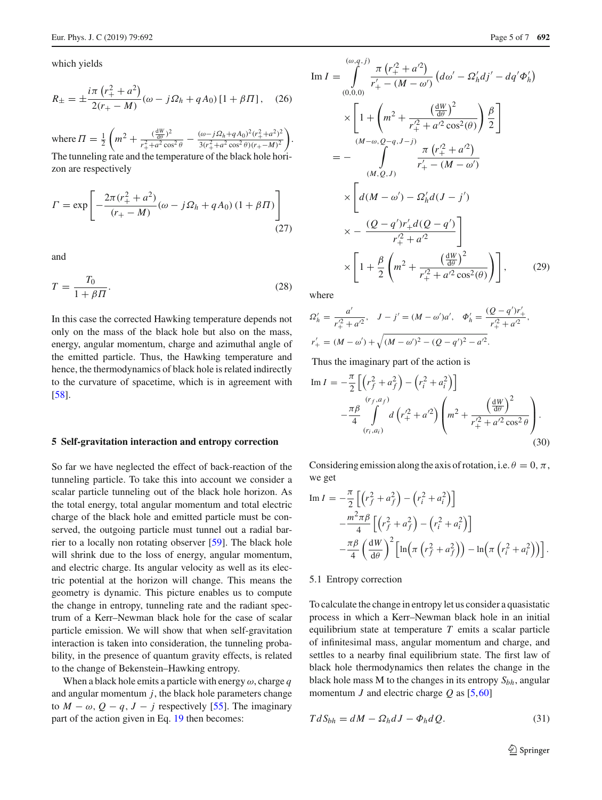which yields

$$
R_{\pm} = \pm \frac{i\pi \left(r_+^2 + a^2\right)}{2(r_+ - M)} (\omega - j\Omega_h + qA_0) \left[1 + \beta \Pi\right], \quad (26)
$$

where  $\Pi = \frac{1}{2}$  $\left(m^2 + \frac{(\frac{dW}{d\theta})^2}{r_1^2 + a^2 \cos \theta}\right)$  $\frac{(\frac{dW}{d\theta})^2}{r_+^2 + a^2 \cos^2 \theta} - \frac{(\omega - j\Omega_h + qA_0)^2 (r_+^2 + a^2)^2}{3(r_+^2 + a^2 \cos^2 \theta)(r_+ - M)^2}$  . The tunneling rate and the temperature of the black hole horizon are respectively

$$
\Gamma = \exp \left[ -\frac{2\pi (r_+^2 + a^2)}{(r_+ - M)} (\omega - j\Omega_h + qA_0) (1 + \beta H) \right]
$$
\n(27)

and

$$
T = \frac{T_0}{1 + \beta H}.\tag{28}
$$

In this case the corrected Hawking temperature depends not only on the mass of the black hole but also on the mass, energy, angular momentum, charge and azimuthal angle of the emitted particle. Thus, the Hawking temperature and hence, the thermodynamics of black hole is related indirectly to the curvature of spacetime, which is in agreement with [\[58](#page-6-33)].

#### <span id="page-4-0"></span>**5 Self-gravitation interaction and entropy correction**

So far we have neglected the effect of back-reaction of the tunneling particle. To take this into account we consider a scalar particle tunneling out of the black hole horizon. As the total energy, total angular momentum and total electric charge of the black hole and emitted particle must be conserved, the outgoing particle must tunnel out a radial barrier to a locally non rotating observer [\[59\]](#page-6-34). The black hole will shrink due to the loss of energy, angular momentum, and electric charge. Its angular velocity as well as its electric potential at the horizon will change. This means the geometry is dynamic. This picture enables us to compute the change in entropy, tunneling rate and the radiant spectrum of a Kerr–Newman black hole for the case of scalar particle emission. We will show that when self-gravitation interaction is taken into consideration, the tunneling probability, in the presence of quantum gravity effects, is related to the change of Bekenstein–Hawking entropy.

When a black hole emits a particle with energy  $\omega$ , charge q and angular momentum  $j$ , the black hole parameters change to  $M - \omega$ ,  $Q - q$ ,  $J - j$  respectively [\[55](#page-6-30)]. The imaginary part of the action given in Eq. [19](#page-3-3) then becomes:

Im 
$$
I = \int_{(0,0,0)}^{(\omega, q,j)} \frac{\pi (r_+^2 + a^2)}{r_+^2 - (M - \omega')} (d\omega' - \Omega'_n d j' - d q' \Phi'_h)
$$
  
\n
$$
\times \left[ 1 + \left( m^2 + \frac{\left(\frac{dW}{d\theta}\right)^2}{r_+^2 + a'^2 \cos^2(\theta)} \right) \frac{\beta}{2} \right]
$$
\n
$$
= - \int_{(M, Q, J)}^{(M - \omega, Q - q, J - j)} \frac{\pi (r_+^2 + a'^2)}{r_+^2 - (M - \omega')}
$$
\n
$$
\times \left[ d(M - \omega') - \Omega'_h d(J - j') \right]
$$
\n
$$
\times - \frac{(Q - q')r_+^2 d(Q - q')}{r_+^2 + a'^2}
$$
\n
$$
\times \left[ 1 + \frac{\beta}{2} \left( m^2 + \frac{\left(\frac{dW}{d\theta}\right)^2}{r_+^2 + a'^2 \cos^2(\theta)} \right) \right], \qquad (29)
$$

where

$$
\Omega'_{h} = \frac{a'}{r_{+}^2 + a'^2}, \quad J - j' = (M - \omega')a', \quad \Phi'_{h} = \frac{(Q - q')r'_{+}}{r_{+}^2 + a'^2},
$$
  

$$
r'_{+} = (M - \omega') + \sqrt{(M - \omega')^2 - (Q - q')^2 - a'^2}.
$$

Thus the imaginary part of the action is

<span id="page-4-1"></span>Im 
$$
I = -\frac{\pi}{2} \left[ \left( r_f^2 + a_f^2 \right) - \left( r_i^2 + a_i^2 \right) \right]
$$
  

$$
-\frac{\pi \beta}{4} \int_{(r_i, a_i)}^{(r_f, a_f)} d \left( r_+^2 + a'^2 \right) \left( m^2 + \frac{\left( \frac{dW}{d\theta} \right)^2}{r_+^2 + a'^2 \cos^2 \theta} \right).
$$
(30)

Considering emission along the axis of rotation, i.e.  $\theta = 0, \pi$ , we get

Im 
$$
I = -\frac{\pi}{2} \left[ \left( r_f^2 + a_f^2 \right) - \left( r_i^2 + a_i^2 \right) \right]
$$
  
\n
$$
-\frac{m^2 \pi \beta}{4} \left[ \left( r_f^2 + a_f^2 \right) - \left( r_i^2 + a_i^2 \right) \right]
$$
\n
$$
-\frac{\pi \beta}{4} \left( \frac{dW}{d\theta} \right)^2 \left[ \ln \left( \pi \left( r_f^2 + a_f^2 \right) \right) - \ln \left( \pi \left( r_i^2 + a_i^2 \right) \right) \right].
$$

# 5.1 Entropy correction

To calculate the change in entropy let us consider a quasistatic process in which a Kerr–Newman black hole in an initial equilibrium state at temperature *T* emits a scalar particle of infinitesimal mass, angular momentum and charge, and settles to a nearby final equilibrium state. The first law of black hole thermodynamics then relates the change in the black hole mass M to the changes in its entropy *Sbh*, angular momentum *J* and electric charge *Q* as [\[5,](#page-5-7)[60\]](#page-6-35)

$$
TdS_{bh} = dM - \Omega_h dJ - \Phi_h dQ. \tag{31}
$$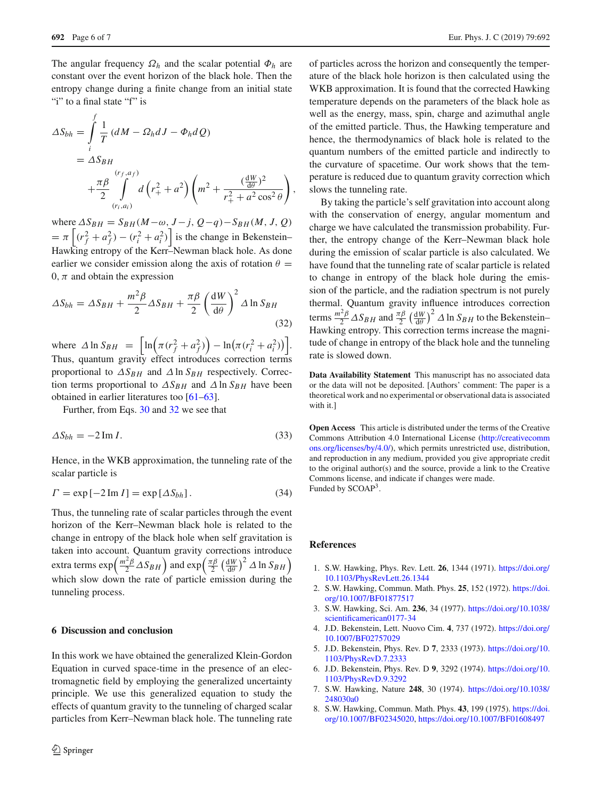The angular frequency  $\Omega_h$  and the scalar potential  $\Phi_h$  are constant over the event horizon of the black hole. Then the entropy change during a finite change from an initial state "i" to a final state "f" is

$$
\Delta S_{bh} = \int_{i}^{f} \frac{1}{T} (dM - \Omega_h dJ - \Phi_h dQ)
$$
  
=  $\Delta S_{BH}$   
+ $\frac{\pi \beta}{2} \int_{(r_i, a_i)}^{(r_f, a_f)} d(r_+^2 + a^2) \left(m^2 + \frac{(\frac{dW}{d\theta})^2}{r_+^2 + a^2 \cos^2 \theta}\right),$ 

where  $\Delta S_{BH} = S_{BH}(M - \omega, J - j, Q - q) - S_{BH}(M, J, Q)$  $= \pi \left[ (r_f^2 + a_f^2) - (r_i^2 + a_i^2) \right]$  is the change in Bekenstein– Hawking entropy of the Kerr–Newman black hole. As done earlier we consider emission along the axis of rotation  $\theta =$ 0,  $\pi$  and obtain the expression

<span id="page-5-8"></span>
$$
\Delta S_{bh} = \Delta S_{BH} + \frac{m^2 \beta}{2} \Delta S_{BH} + \frac{\pi \beta}{2} \left(\frac{\mathrm{d} W}{\mathrm{d} \theta}\right)^2 \Delta \ln S_{BH}
$$
\n(32)

where  $\Delta \ln S_{BH} = \left[ \ln \left( \pi (r_f^2 + a_f^2) \right) - \ln \left( \pi (r_i^2 + a_i^2) \right) \right]$ . Thus, quantum gravity effect introduces correction terms proportional to  $\Delta S_{BH}$  and  $\Delta \ln S_{BH}$  respectively. Correction terms proportional to  $\Delta S_{BH}$  and  $\Delta \ln S_{BH}$  have been obtained in earlier literatures too [\[61](#page-6-36)[–63\]](#page-6-37).

Further, from Eqs. [30](#page-4-1) and [32](#page-5-8) we see that

$$
\Delta S_{bh} = -2 \operatorname{Im} I. \tag{33}
$$

Hence, in the WKB approximation, the tunneling rate of the scalar particle is

$$
\Gamma = \exp[-2 \operatorname{Im} I] = \exp[\Delta S_{bh}]. \tag{34}
$$

Thus, the tunneling rate of scalar particles through the event horizon of the Kerr–Newman black hole is related to the change in entropy of the black hole when self gravitation is taken into account. Quantum gravity corrections introduce extra terms  $\exp\left(\frac{m^2\beta}{2}\Delta S_{BH}\right)$  and  $\exp\left(\frac{\pi\beta}{2}\left(\frac{\mathrm{d}W}{\mathrm{d}\theta}\right)^2\Delta\ln S_{BH}\right)$ which slow down the rate of particle emission during the tunneling process.

# <span id="page-5-6"></span>**6 Discussion and conclusion**

In this work we have obtained the generalized Klein-Gordon Equation in curved space-time in the presence of an electromagnetic field by employing the generalized uncertainty principle. We use this generalized equation to study the effects of quantum gravity to the tunneling of charged scalar particles from Kerr–Newman black hole. The tunneling rate of particles across the horizon and consequently the temperature of the black hole horizon is then calculated using the WKB approximation. It is found that the corrected Hawking temperature depends on the parameters of the black hole as well as the energy, mass, spin, charge and azimuthal angle of the emitted particle. Thus, the Hawking temperature and hence, the thermodynamics of black hole is related to the quantum numbers of the emitted particle and indirectly to the curvature of spacetime. Our work shows that the temperature is reduced due to quantum gravity correction which slows the tunneling rate.

By taking the particle's self gravitation into account along with the conservation of energy, angular momentum and charge we have calculated the transmission probability. Further, the entropy change of the Kerr–Newman black hole during the emission of scalar particle is also calculated. We have found that the tunneling rate of scalar particle is related to change in entropy of the black hole during the emission of the particle, and the radiation spectrum is not purely thermal. Quantum gravity influence introduces correction terms  $\frac{m^2 \beta}{2} \Delta S_{BH}$  and  $\frac{\pi \beta}{2} \left(\frac{dW}{d\theta}\right)^2 \Delta \ln S_{BH}$  to the Bekenstein– Hawking entropy. This correction terms increase the magnitude of change in entropy of the black hole and the tunneling rate is slowed down.

**Data Availability Statement** This manuscript has no associated data or the data will not be deposited. [Authors' comment: The paper is a theoretical work and no experimental or observational data is associated with it.]

**Open Access** This article is distributed under the terms of the Creative Commons Attribution 4.0 International License [\(http://creativecomm](http://creativecommons.org/licenses/by/4.0/) [ons.org/licenses/by/4.0/\)](http://creativecommons.org/licenses/by/4.0/), which permits unrestricted use, distribution, and reproduction in any medium, provided you give appropriate credit to the original author(s) and the source, provide a link to the Creative Commons license, and indicate if changes were made. Funded by SCOAP<sup>3</sup>.

# **References**

- <span id="page-5-0"></span>1. S.W. Hawking, Phys. Rev. Lett. **26**, 1344 (1971). [https://doi.org/](https://doi.org/10.1103/PhysRevLett.26.1344) [10.1103/PhysRevLett.26.1344](https://doi.org/10.1103/PhysRevLett.26.1344)
- 2. S.W. Hawking, Commun. Math. Phys. **25**, 152 (1972). [https://doi.](https://doi.org/10.1007/BF01877517) [org/10.1007/BF01877517](https://doi.org/10.1007/BF01877517)
- <span id="page-5-1"></span>3. S.W. Hawking, Sci. Am. **236**, 34 (1977). [https://doi.org/10.1038/](https://doi.org/10.1038/scientificamerican0177-34) [scientificamerican0177-34](https://doi.org/10.1038/scientificamerican0177-34)
- <span id="page-5-2"></span>4. J.D. Bekenstein, Lett. Nuovo Cim. **4**, 737 (1972). [https://doi.org/](https://doi.org/10.1007/BF02757029) [10.1007/BF02757029](https://doi.org/10.1007/BF02757029)
- <span id="page-5-7"></span>5. J.D. Bekenstein, Phys. Rev. D **7**, 2333 (1973). [https://doi.org/10.](https://doi.org/10.1103/PhysRevD.7.2333) [1103/PhysRevD.7.2333](https://doi.org/10.1103/PhysRevD.7.2333)
- <span id="page-5-3"></span>6. J.D. Bekenstein, Phys. Rev. D **9**, 3292 (1974). [https://doi.org/10.](https://doi.org/10.1103/PhysRevD.9.3292) [1103/PhysRevD.9.3292](https://doi.org/10.1103/PhysRevD.9.3292)
- <span id="page-5-4"></span>7. S.W. Hawking, Nature **248**, 30 (1974). [https://doi.org/10.1038/](https://doi.org/10.1038/248030a0) [248030a0](https://doi.org/10.1038/248030a0)
- <span id="page-5-5"></span>8. S.W. Hawking, Commun. Math. Phys. **43**, 199 (1975). [https://doi.](https://doi.org/10.1007/BF02345020) [org/10.1007/BF02345020,](https://doi.org/10.1007/BF02345020) <https://doi.org/10.1007/BF01608497>